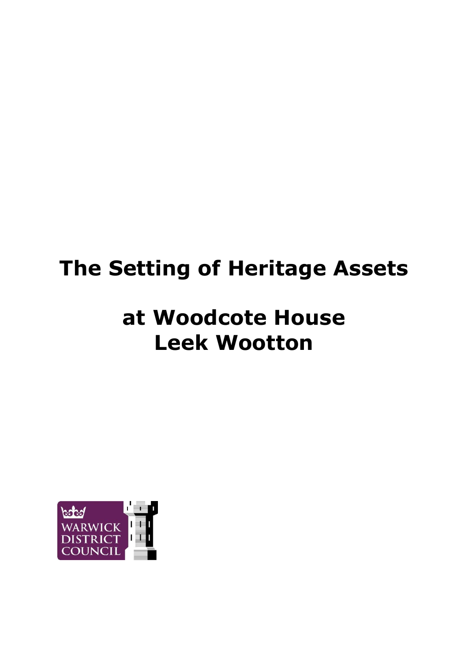# **The Setting of Heritage Assets**

# **at Woodcote House Leek Wootton**

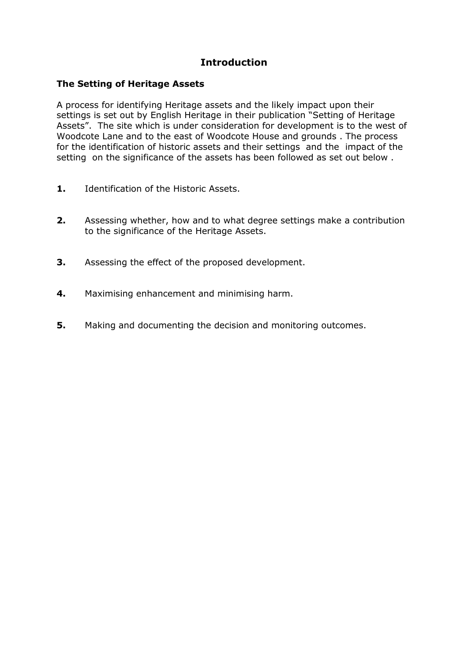### **Introduction**

#### **The Setting of Heritage Assets**

A process for identifying Heritage assets and the likely impact upon their settings is set out by English Heritage in their publication "Setting of Heritage Assets". The site which is under consideration for development is to the west of Woodcote Lane and to the east of Woodcote House and grounds . The process for the identification of historic assets and their settings and the impact of the setting on the significance of the assets has been followed as set out below .

- **1.** Identification of the Historic Assets.
- **2.** Assessing whether, how and to what degree settings make a contribution to the significance of the Heritage Assets.
- **3.** Assessing the effect of the proposed development.
- **4.** Maximising enhancement and minimising harm.
- **5.** Making and documenting the decision and monitoring outcomes.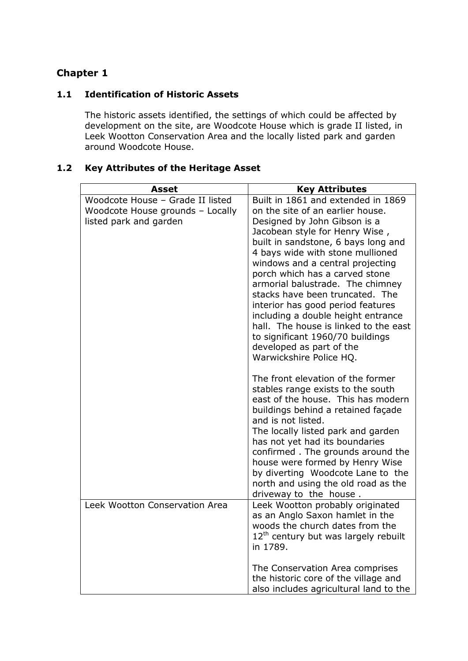#### **1.1 Identification of Historic Assets**

The historic assets identified, the settings of which could be affected by development on the site, are Woodcote House which is grade II listed, in Leek Wootton Conservation Area and the locally listed park and garden around Woodcote House.

# **1.2 Key Attributes of the Heritage Asset**

| <b>Asset</b>                     | <b>Key Attributes</b>                  |
|----------------------------------|----------------------------------------|
| Woodcote House - Grade II listed | Built in 1861 and extended in 1869     |
| Woodcote House grounds - Locally | on the site of an earlier house.       |
| listed park and garden           | Designed by John Gibson is a           |
|                                  | Jacobean style for Henry Wise,         |
|                                  | built in sandstone, 6 bays long and    |
|                                  | 4 bays wide with stone mullioned       |
|                                  | windows and a central projecting       |
|                                  | porch which has a carved stone         |
|                                  | armorial balustrade. The chimney       |
|                                  | stacks have been truncated. The        |
|                                  | interior has good period features      |
|                                  | including a double height entrance     |
|                                  | hall. The house is linked to the east  |
|                                  | to significant 1960/70 buildings       |
|                                  | developed as part of the               |
|                                  | Warwickshire Police HQ.                |
|                                  | The front elevation of the former      |
|                                  | stables range exists to the south      |
|                                  | east of the house. This has modern     |
|                                  | buildings behind a retained façade     |
|                                  | and is not listed.                     |
|                                  | The locally listed park and garden     |
|                                  | has not yet had its boundaries         |
|                                  | confirmed. The grounds around the      |
|                                  | house were formed by Henry Wise        |
|                                  | by diverting Woodcote Lane to the      |
|                                  | north and using the old road as the    |
|                                  | driveway to the house.                 |
| Leek Wootton Conservation Area   | Leek Wootton probably originated       |
|                                  | as an Anglo Saxon hamlet in the        |
|                                  | woods the church dates from the        |
|                                  | $12th$ century but was largely rebuilt |
|                                  | in 1789.                               |
|                                  |                                        |
|                                  | The Conservation Area comprises        |
|                                  | the historic core of the village and   |
|                                  | also includes agricultural land to the |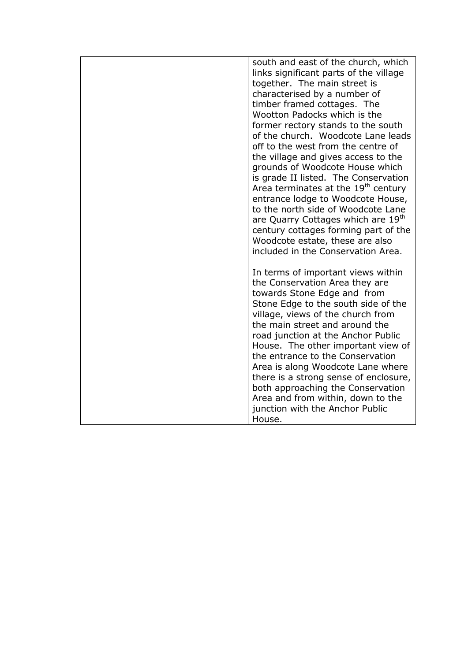| south and east of the church, which<br>links significant parts of the village<br>together. The main street is<br>characterised by a number of<br>timber framed cottages. The<br>Wootton Padocks which is the<br>former rectory stands to the south<br>of the church. Woodcote Lane leads<br>off to the west from the centre of<br>the village and gives access to the                                                                                                                                                                  |
|----------------------------------------------------------------------------------------------------------------------------------------------------------------------------------------------------------------------------------------------------------------------------------------------------------------------------------------------------------------------------------------------------------------------------------------------------------------------------------------------------------------------------------------|
| grounds of Woodcote House which<br>is grade II listed. The Conservation<br>Area terminates at the 19 <sup>th</sup> century<br>entrance lodge to Woodcote House,<br>to the north side of Woodcote Lane<br>are Quarry Cottages which are 19 <sup>th</sup><br>century cottages forming part of the<br>Woodcote estate, these are also<br>included in the Conservation Area.                                                                                                                                                               |
| In terms of important views within<br>the Conservation Area they are<br>towards Stone Edge and from<br>Stone Edge to the south side of the<br>village, views of the church from<br>the main street and around the<br>road junction at the Anchor Public<br>House. The other important view of<br>the entrance to the Conservation<br>Area is along Woodcote Lane where<br>there is a strong sense of enclosure,<br>both approaching the Conservation<br>Area and from within, down to the<br>junction with the Anchor Public<br>House. |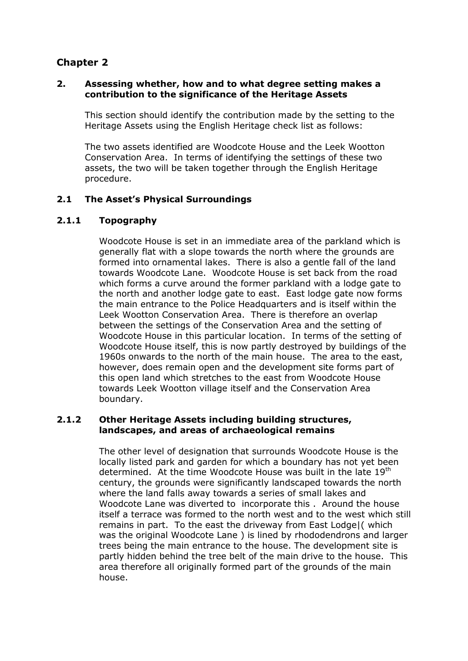#### **2. Assessing whether, how and to what degree setting makes a contribution to the significance of the Heritage Assets**

This section should identify the contribution made by the setting to the Heritage Assets using the English Heritage check list as follows:

The two assets identified are Woodcote House and the Leek Wootton Conservation Area. In terms of identifying the settings of these two assets, the two will be taken together through the English Heritage procedure.

#### **2.1 The Asset's Physical Surroundings**

#### **2.1.1 Topography**

Woodcote House is set in an immediate area of the parkland which is generally flat with a slope towards the north where the grounds are formed into ornamental lakes. There is also a gentle fall of the land towards Woodcote Lane. Woodcote House is set back from the road which forms a curve around the former parkland with a lodge gate to the north and another lodge gate to east. East lodge gate now forms the main entrance to the Police Headquarters and is itself within the Leek Wootton Conservation Area. There is therefore an overlap between the settings of the Conservation Area and the setting of Woodcote House in this particular location. In terms of the setting of Woodcote House itself, this is now partly destroyed by buildings of the 1960s onwards to the north of the main house. The area to the east, however, does remain open and the development site forms part of this open land which stretches to the east from Woodcote House towards Leek Wootton village itself and the Conservation Area boundary.

#### **2.1.2 Other Heritage Assets including building structures, landscapes, and areas of archaeological remains**

The other level of designation that surrounds Woodcote House is the locally listed park and garden for which a boundary has not yet been determined. At the time Woodcote House was built in the late 19<sup>th</sup> century, the grounds were significantly landscaped towards the north where the land falls away towards a series of small lakes and Woodcote Lane was diverted to incorporate this . Around the house itself a terrace was formed to the north west and to the west which still remains in part. To the east the driveway from East Lodge|( which was the original Woodcote Lane ) is lined by rhododendrons and larger trees being the main entrance to the house. The development site is partly hidden behind the tree belt of the main drive to the house. This area therefore all originally formed part of the grounds of the main house.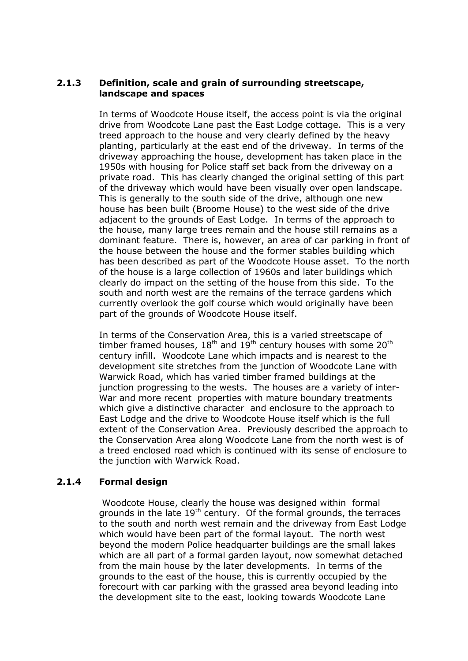#### **2.1.3 Definition, scale and grain of surrounding streetscape, landscape and spaces**

In terms of Woodcote House itself, the access point is via the original drive from Woodcote Lane past the East Lodge cottage. This is a very treed approach to the house and very clearly defined by the heavy planting, particularly at the east end of the driveway. In terms of the driveway approaching the house, development has taken place in the 1950s with housing for Police staff set back from the driveway on a private road. This has clearly changed the original setting of this part of the driveway which would have been visually over open landscape. This is generally to the south side of the drive, although one new house has been built (Broome House) to the west side of the drive adjacent to the grounds of East Lodge. In terms of the approach to the house, many large trees remain and the house still remains as a dominant feature. There is, however, an area of car parking in front of the house between the house and the former stables building which has been described as part of the Woodcote House asset. To the north of the house is a large collection of 1960s and later buildings which clearly do impact on the setting of the house from this side. To the south and north west are the remains of the terrace gardens which currently overlook the golf course which would originally have been part of the grounds of Woodcote House itself.

In terms of the Conservation Area, this is a varied streetscape of timber framed houses,  $18<sup>th</sup>$  and  $19<sup>th</sup>$  century houses with some  $20<sup>th</sup>$ century infill. Woodcote Lane which impacts and is nearest to the development site stretches from the junction of Woodcote Lane with Warwick Road, which has varied timber framed buildings at the junction progressing to the wests. The houses are a variety of inter-War and more recent properties with mature boundary treatments which give a distinctive character and enclosure to the approach to East Lodge and the drive to Woodcote House itself which is the full extent of the Conservation Area. Previously described the approach to the Conservation Area along Woodcote Lane from the north west is of a treed enclosed road which is continued with its sense of enclosure to the junction with Warwick Road.

#### **2.1.4 Formal design**

Woodcote House, clearly the house was designed within formal grounds in the late  $19<sup>th</sup>$  century. Of the formal grounds, the terraces to the south and north west remain and the driveway from East Lodge which would have been part of the formal layout. The north west beyond the modern Police headquarter buildings are the small lakes which are all part of a formal garden layout, now somewhat detached from the main house by the later developments. In terms of the grounds to the east of the house, this is currently occupied by the forecourt with car parking with the grassed area beyond leading into the development site to the east, looking towards Woodcote Lane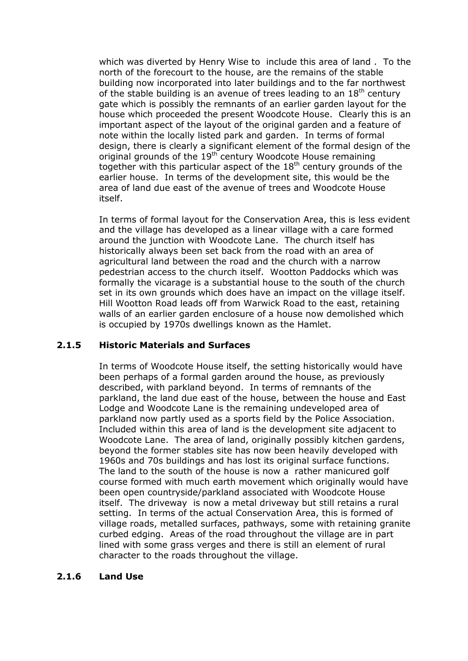which was diverted by Henry Wise to include this area of land . To the north of the forecourt to the house, are the remains of the stable building now incorporated into later buildings and to the far northwest of the stable building is an avenue of trees leading to an  $18<sup>th</sup>$  century gate which is possibly the remnants of an earlier garden layout for the house which proceeded the present Woodcote House. Clearly this is an important aspect of the layout of the original garden and a feature of note within the locally listed park and garden. In terms of formal design, there is clearly a significant element of the formal design of the original grounds of the 19<sup>th</sup> century Woodcote House remaining together with this particular aspect of the  $18<sup>th</sup>$  century grounds of the earlier house. In terms of the development site, this would be the area of land due east of the avenue of trees and Woodcote House itself.

In terms of formal layout for the Conservation Area, this is less evident and the village has developed as a linear village with a care formed around the junction with Woodcote Lane. The church itself has historically always been set back from the road with an area of agricultural land between the road and the church with a narrow pedestrian access to the church itself. Wootton Paddocks which was formally the vicarage is a substantial house to the south of the church set in its own grounds which does have an impact on the village itself. Hill Wootton Road leads off from Warwick Road to the east, retaining walls of an earlier garden enclosure of a house now demolished which is occupied by 1970s dwellings known as the Hamlet.

#### **2.1.5 Historic Materials and Surfaces**

In terms of Woodcote House itself, the setting historically would have been perhaps of a formal garden around the house, as previously described, with parkland beyond. In terms of remnants of the parkland, the land due east of the house, between the house and East Lodge and Woodcote Lane is the remaining undeveloped area of parkland now partly used as a sports field by the Police Association. Included within this area of land is the development site adjacent to Woodcote Lane. The area of land, originally possibly kitchen gardens, beyond the former stables site has now been heavily developed with 1960s and 70s buildings and has lost its original surface functions. The land to the south of the house is now a rather manicured golf course formed with much earth movement which originally would have been open countryside/parkland associated with Woodcote House itself. The driveway is now a metal driveway but still retains a rural setting. In terms of the actual Conservation Area, this is formed of village roads, metalled surfaces, pathways, some with retaining granite curbed edging. Areas of the road throughout the village are in part lined with some grass verges and there is still an element of rural character to the roads throughout the village.

#### **2.1.6 Land Use**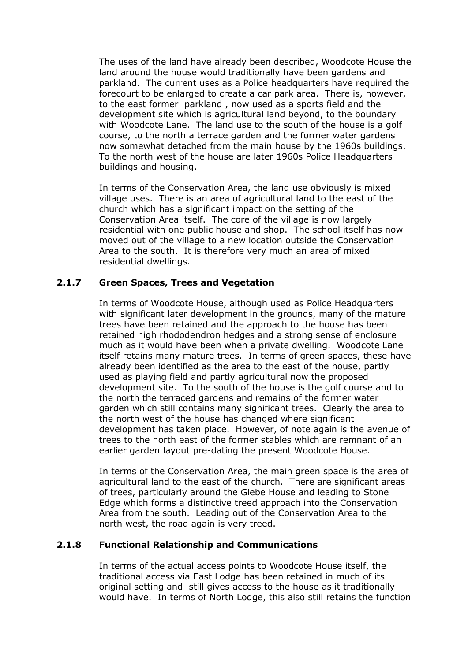The uses of the land have already been described, Woodcote House the land around the house would traditionally have been gardens and parkland. The current uses as a Police headquarters have required the forecourt to be enlarged to create a car park area. There is, however, to the east former parkland , now used as a sports field and the development site which is agricultural land beyond, to the boundary with Woodcote Lane. The land use to the south of the house is a golf course, to the north a terrace garden and the former water gardens now somewhat detached from the main house by the 1960s buildings. To the north west of the house are later 1960s Police Headquarters buildings and housing.

In terms of the Conservation Area, the land use obviously is mixed village uses. There is an area of agricultural land to the east of the church which has a significant impact on the setting of the Conservation Area itself. The core of the village is now largely residential with one public house and shop. The school itself has now moved out of the village to a new location outside the Conservation Area to the south. It is therefore very much an area of mixed residential dwellings.

#### **2.1.7 Green Spaces, Trees and Vegetation**

In terms of Woodcote House, although used as Police Headquarters with significant later development in the grounds, many of the mature trees have been retained and the approach to the house has been retained high rhododendron hedges and a strong sense of enclosure much as it would have been when a private dwelling. Woodcote Lane itself retains many mature trees. In terms of green spaces, these have already been identified as the area to the east of the house, partly used as playing field and partly agricultural now the proposed development site. To the south of the house is the golf course and to the north the terraced gardens and remains of the former water garden which still contains many significant trees. Clearly the area to the north west of the house has changed where significant development has taken place. However, of note again is the avenue of trees to the north east of the former stables which are remnant of an earlier garden layout pre-dating the present Woodcote House.

In terms of the Conservation Area, the main green space is the area of agricultural land to the east of the church. There are significant areas of trees, particularly around the Glebe House and leading to Stone Edge which forms a distinctive treed approach into the Conservation Area from the south. Leading out of the Conservation Area to the north west, the road again is very treed.

#### **2.1.8 Functional Relationship and Communications**

In terms of the actual access points to Woodcote House itself, the traditional access via East Lodge has been retained in much of its original setting and still gives access to the house as it traditionally would have. In terms of North Lodge, this also still retains the function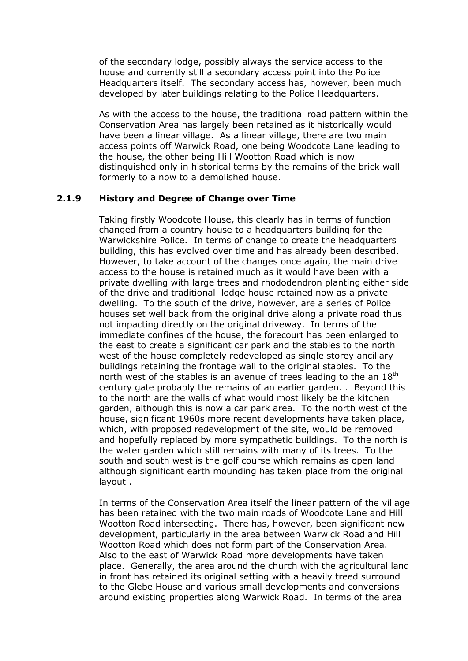of the secondary lodge, possibly always the service access to the house and currently still a secondary access point into the Police Headquarters itself. The secondary access has, however, been much developed by later buildings relating to the Police Headquarters.

As with the access to the house, the traditional road pattern within the Conservation Area has largely been retained as it historically would have been a linear village. As a linear village, there are two main access points off Warwick Road, one being Woodcote Lane leading to the house, the other being Hill Wootton Road which is now distinguished only in historical terms by the remains of the brick wall formerly to a now to a demolished house.

#### **2.1.9 History and Degree of Change over Time**

Taking firstly Woodcote House, this clearly has in terms of function changed from a country house to a headquarters building for the Warwickshire Police. In terms of change to create the headquarters building, this has evolved over time and has already been described. However, to take account of the changes once again, the main drive access to the house is retained much as it would have been with a private dwelling with large trees and rhododendron planting either side of the drive and traditional lodge house retained now as a private dwelling. To the south of the drive, however, are a series of Police houses set well back from the original drive along a private road thus not impacting directly on the original driveway. In terms of the immediate confines of the house, the forecourt has been enlarged to the east to create a significant car park and the stables to the north west of the house completely redeveloped as single storey ancillary buildings retaining the frontage wall to the original stables. To the north west of the stables is an avenue of trees leading to the an 18<sup>th</sup> century gate probably the remains of an earlier garden. . Beyond this to the north are the walls of what would most likely be the kitchen garden, although this is now a car park area. To the north west of the house, significant 1960s more recent developments have taken place, which, with proposed redevelopment of the site, would be removed and hopefully replaced by more sympathetic buildings. To the north is the water garden which still remains with many of its trees. To the south and south west is the golf course which remains as open land although significant earth mounding has taken place from the original layout .

In terms of the Conservation Area itself the linear pattern of the village has been retained with the two main roads of Woodcote Lane and Hill Wootton Road intersecting. There has, however, been significant new development, particularly in the area between Warwick Road and Hill Wootton Road which does not form part of the Conservation Area. Also to the east of Warwick Road more developments have taken place. Generally, the area around the church with the agricultural land in front has retained its original setting with a heavily treed surround to the Glebe House and various small developments and conversions around existing properties along Warwick Road. In terms of the area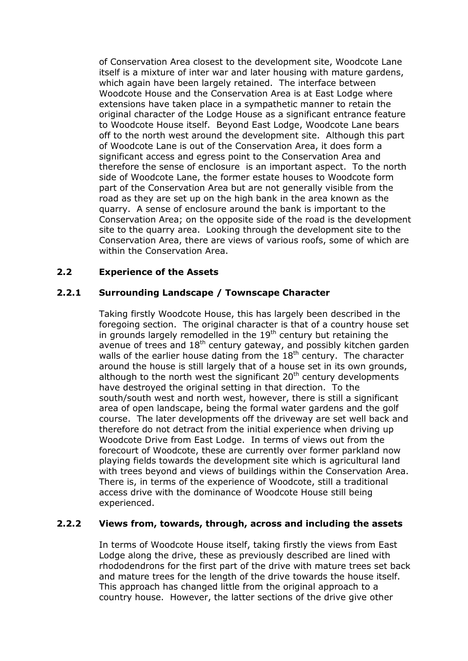of Conservation Area closest to the development site, Woodcote Lane itself is a mixture of inter war and later housing with mature gardens, which again have been largely retained. The interface between Woodcote House and the Conservation Area is at East Lodge where extensions have taken place in a sympathetic manner to retain the original character of the Lodge House as a significant entrance feature to Woodcote House itself. Beyond East Lodge, Woodcote Lane bears off to the north west around the development site. Although this part of Woodcote Lane is out of the Conservation Area, it does form a significant access and egress point to the Conservation Area and therefore the sense of enclosure is an important aspect. To the north side of Woodcote Lane, the former estate houses to Woodcote form part of the Conservation Area but are not generally visible from the road as they are set up on the high bank in the area known as the quarry. A sense of enclosure around the bank is important to the Conservation Area; on the opposite side of the road is the development site to the quarry area. Looking through the development site to the Conservation Area, there are views of various roofs, some of which are within the Conservation Area.

#### **2.2 Experience of the Assets**

#### **2.2.1 Surrounding Landscape / Townscape Character**

Taking firstly Woodcote House, this has largely been described in the foregoing section. The original character is that of a country house set in grounds largely remodelled in the 19<sup>th</sup> century but retaining the avenue of trees and  $18<sup>th</sup>$  century gateway, and possibly kitchen garden walls of the earlier house dating from the  $18<sup>th</sup>$  century. The character around the house is still largely that of a house set in its own grounds, although to the north west the significant  $20<sup>th</sup>$  century developments have destroyed the original setting in that direction. To the south/south west and north west, however, there is still a significant area of open landscape, being the formal water gardens and the golf course. The later developments off the driveway are set well back and therefore do not detract from the initial experience when driving up Woodcote Drive from East Lodge. In terms of views out from the forecourt of Woodcote, these are currently over former parkland now playing fields towards the development site which is agricultural land with trees beyond and views of buildings within the Conservation Area. There is, in terms of the experience of Woodcote, still a traditional access drive with the dominance of Woodcote House still being experienced.

#### **2.2.2 Views from, towards, through, across and including the assets**

In terms of Woodcote House itself, taking firstly the views from East Lodge along the drive, these as previously described are lined with rhododendrons for the first part of the drive with mature trees set back and mature trees for the length of the drive towards the house itself. This approach has changed little from the original approach to a country house. However, the latter sections of the drive give other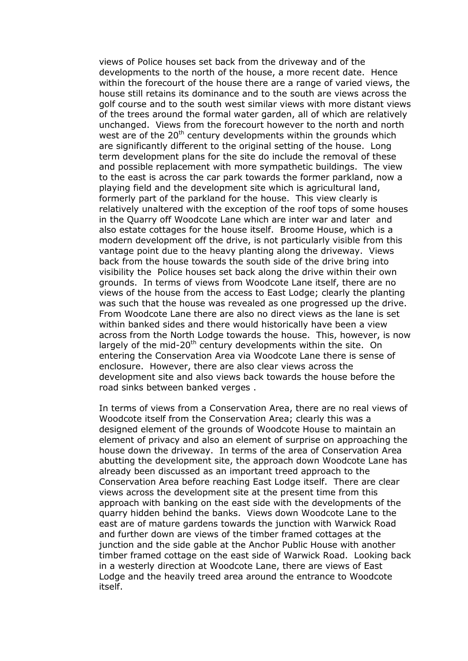views of Police houses set back from the driveway and of the developments to the north of the house, a more recent date. Hence within the forecourt of the house there are a range of varied views, the house still retains its dominance and to the south are views across the golf course and to the south west similar views with more distant views of the trees around the formal water garden, all of which are relatively unchanged. Views from the forecourt however to the north and north west are of the 20<sup>th</sup> century developments within the grounds which are significantly different to the original setting of the house. Long term development plans for the site do include the removal of these and possible replacement with more sympathetic buildings. The view to the east is across the car park towards the former parkland, now a playing field and the development site which is agricultural land, formerly part of the parkland for the house. This view clearly is relatively unaltered with the exception of the roof tops of some houses in the Quarry off Woodcote Lane which are inter war and later and also estate cottages for the house itself. Broome House, which is a modern development off the drive, is not particularly visible from this vantage point due to the heavy planting along the driveway. Views back from the house towards the south side of the drive bring into visibility the Police houses set back along the drive within their own grounds. In terms of views from Woodcote Lane itself, there are no views of the house from the access to East Lodge; clearly the planting was such that the house was revealed as one progressed up the drive. From Woodcote Lane there are also no direct views as the lane is set within banked sides and there would historically have been a view across from the North Lodge towards the house. This, however, is now largely of the mid-20<sup>th</sup> century developments within the site. On entering the Conservation Area via Woodcote Lane there is sense of enclosure. However, there are also clear views across the development site and also views back towards the house before the road sinks between banked verges .

In terms of views from a Conservation Area, there are no real views of Woodcote itself from the Conservation Area; clearly this was a designed element of the grounds of Woodcote House to maintain an element of privacy and also an element of surprise on approaching the house down the driveway. In terms of the area of Conservation Area abutting the development site, the approach down Woodcote Lane has already been discussed as an important treed approach to the Conservation Area before reaching East Lodge itself. There are clear views across the development site at the present time from this approach with banking on the east side with the developments of the quarry hidden behind the banks. Views down Woodcote Lane to the east are of mature gardens towards the junction with Warwick Road and further down are views of the timber framed cottages at the junction and the side gable at the Anchor Public House with another timber framed cottage on the east side of Warwick Road. Looking back in a westerly direction at Woodcote Lane, there are views of East Lodge and the heavily treed area around the entrance to Woodcote itself.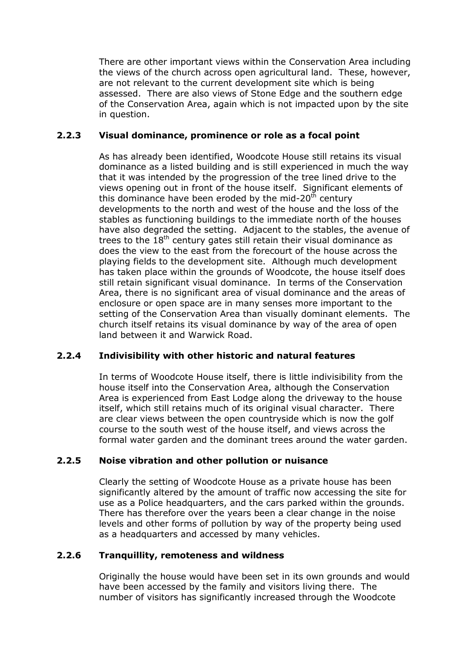There are other important views within the Conservation Area including the views of the church across open agricultural land. These, however, are not relevant to the current development site which is being assessed. There are also views of Stone Edge and the southern edge of the Conservation Area, again which is not impacted upon by the site in question.

#### **2.2.3 Visual dominance, prominence or role as a focal point**

As has already been identified, Woodcote House still retains its visual dominance as a listed building and is still experienced in much the way that it was intended by the progression of the tree lined drive to the views opening out in front of the house itself. Significant elements of this dominance have been eroded by the mid-20 $<sup>th</sup>$  century</sup> developments to the north and west of the house and the loss of the stables as functioning buildings to the immediate north of the houses have also degraded the setting. Adjacent to the stables, the avenue of trees to the  $18<sup>th</sup>$  century gates still retain their visual dominance as does the view to the east from the forecourt of the house across the playing fields to the development site. Although much development has taken place within the grounds of Woodcote, the house itself does still retain significant visual dominance. In terms of the Conservation Area, there is no significant area of visual dominance and the areas of enclosure or open space are in many senses more important to the setting of the Conservation Area than visually dominant elements. The church itself retains its visual dominance by way of the area of open land between it and Warwick Road.

#### **2.2.4 Indivisibility with other historic and natural features**

In terms of Woodcote House itself, there is little indivisibility from the house itself into the Conservation Area, although the Conservation Area is experienced from East Lodge along the driveway to the house itself, which still retains much of its original visual character. There are clear views between the open countryside which is now the golf course to the south west of the house itself, and views across the formal water garden and the dominant trees around the water garden.

#### **2.2.5 Noise vibration and other pollution or nuisance**

Clearly the setting of Woodcote House as a private house has been significantly altered by the amount of traffic now accessing the site for use as a Police headquarters, and the cars parked within the grounds. There has therefore over the years been a clear change in the noise levels and other forms of pollution by way of the property being used as a headquarters and accessed by many vehicles.

#### **2.2.6 Tranquillity, remoteness and wildness**

Originally the house would have been set in its own grounds and would have been accessed by the family and visitors living there. The number of visitors has significantly increased through the Woodcote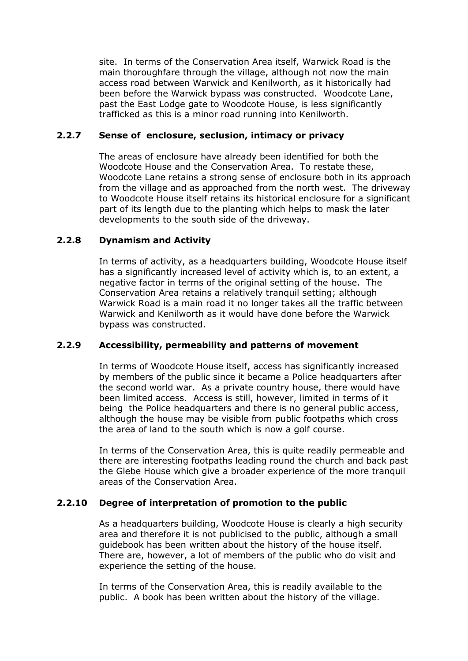site. In terms of the Conservation Area itself, Warwick Road is the main thoroughfare through the village, although not now the main access road between Warwick and Kenilworth, as it historically had been before the Warwick bypass was constructed. Woodcote Lane, past the East Lodge gate to Woodcote House, is less significantly trafficked as this is a minor road running into Kenilworth.

#### **2.2.7 Sense of enclosure, seclusion, intimacy or privacy**

The areas of enclosure have already been identified for both the Woodcote House and the Conservation Area. To restate these, Woodcote Lane retains a strong sense of enclosure both in its approach from the village and as approached from the north west. The driveway to Woodcote House itself retains its historical enclosure for a significant part of its length due to the planting which helps to mask the later developments to the south side of the driveway.

#### **2.2.8 Dynamism and Activity**

In terms of activity, as a headquarters building, Woodcote House itself has a significantly increased level of activity which is, to an extent, a negative factor in terms of the original setting of the house. The Conservation Area retains a relatively tranquil setting; although Warwick Road is a main road it no longer takes all the traffic between Warwick and Kenilworth as it would have done before the Warwick bypass was constructed.

#### **2.2.9 Accessibility, permeability and patterns of movement**

In terms of Woodcote House itself, access has significantly increased by members of the public since it became a Police headquarters after the second world war. As a private country house, there would have been limited access. Access is still, however, limited in terms of it being the Police headquarters and there is no general public access, although the house may be visible from public footpaths which cross the area of land to the south which is now a golf course.

In terms of the Conservation Area, this is quite readily permeable and there are interesting footpaths leading round the church and back past the Glebe House which give a broader experience of the more tranquil areas of the Conservation Area.

#### **2.2.10 Degree of interpretation of promotion to the public**

As a headquarters building, Woodcote House is clearly a high security area and therefore it is not publicised to the public, although a small guidebook has been written about the history of the house itself. There are, however, a lot of members of the public who do visit and experience the setting of the house.

In terms of the Conservation Area, this is readily available to the public. A book has been written about the history of the village.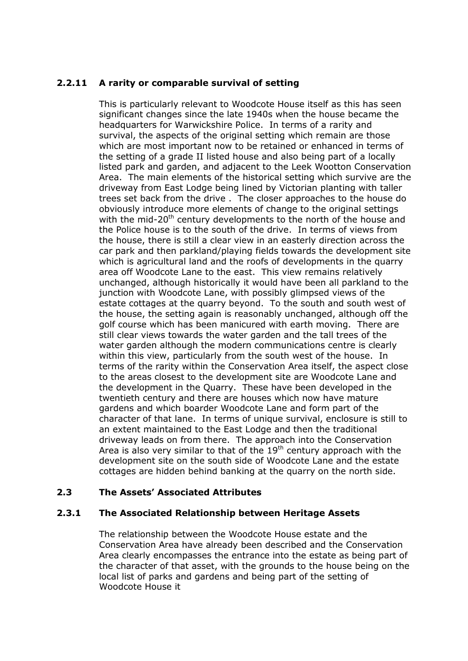#### **2.2.11 A rarity or comparable survival of setting**

This is particularly relevant to Woodcote House itself as this has seen significant changes since the late 1940s when the house became the headquarters for Warwickshire Police. In terms of a rarity and survival, the aspects of the original setting which remain are those which are most important now to be retained or enhanced in terms of the setting of a grade II listed house and also being part of a locally listed park and garden, and adjacent to the Leek Wootton Conservation Area. The main elements of the historical setting which survive are the driveway from East Lodge being lined by Victorian planting with taller trees set back from the drive . The closer approaches to the house do obviously introduce more elements of change to the original settings with the mid-20<sup>th</sup> century developments to the north of the house and the Police house is to the south of the drive. In terms of views from the house, there is still a clear view in an easterly direction across the car park and then parkland/playing fields towards the development site which is agricultural land and the roofs of developments in the quarry area off Woodcote Lane to the east. This view remains relatively unchanged, although historically it would have been all parkland to the junction with Woodcote Lane, with possibly glimpsed views of the estate cottages at the quarry beyond. To the south and south west of the house, the setting again is reasonably unchanged, although off the golf course which has been manicured with earth moving. There are still clear views towards the water garden and the tall trees of the water garden although the modern communications centre is clearly within this view, particularly from the south west of the house. In terms of the rarity within the Conservation Area itself, the aspect close to the areas closest to the development site are Woodcote Lane and the development in the Quarry. These have been developed in the twentieth century and there are houses which now have mature gardens and which boarder Woodcote Lane and form part of the character of that lane. In terms of unique survival, enclosure is still to an extent maintained to the East Lodge and then the traditional driveway leads on from there. The approach into the Conservation Area is also very similar to that of the  $19<sup>th</sup>$  century approach with the development site on the south side of Woodcote Lane and the estate cottages are hidden behind banking at the quarry on the north side.

#### **2.3 The Assets' Associated Attributes**

#### **2.3.1 The Associated Relationship between Heritage Assets**

The relationship between the Woodcote House estate and the Conservation Area have already been described and the Conservation Area clearly encompasses the entrance into the estate as being part of the character of that asset, with the grounds to the house being on the local list of parks and gardens and being part of the setting of Woodcote House it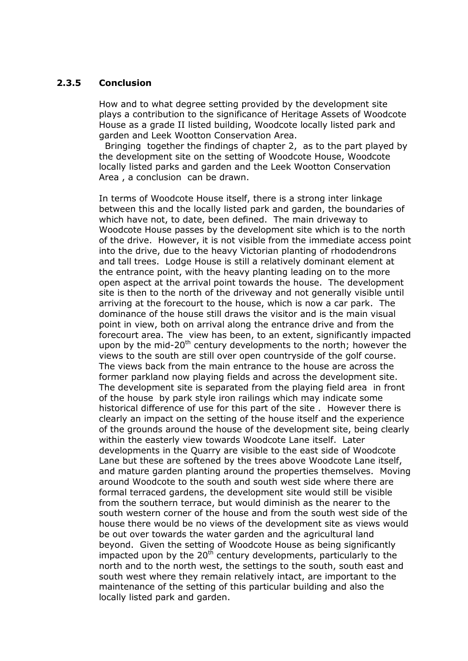#### **2.3.5 Conclusion**

How and to what degree setting provided by the development site plays a contribution to the significance of Heritage Assets of Woodcote House as a grade II listed building, Woodcote locally listed park and garden and Leek Wootton Conservation Area.

 Bringing together the findings of chapter 2, as to the part played by the development site on the setting of Woodcote House, Woodcote locally listed parks and garden and the Leek Wootton Conservation Area , a conclusion can be drawn.

In terms of Woodcote House itself, there is a strong inter linkage between this and the locally listed park and garden, the boundaries of which have not, to date, been defined. The main driveway to Woodcote House passes by the development site which is to the north of the drive. However, it is not visible from the immediate access point into the drive, due to the heavy Victorian planting of rhododendrons and tall trees. Lodge House is still a relatively dominant element at the entrance point, with the heavy planting leading on to the more open aspect at the arrival point towards the house. The development site is then to the north of the driveway and not generally visible until arriving at the forecourt to the house, which is now a car park. The dominance of the house still draws the visitor and is the main visual point in view, both on arrival along the entrance drive and from the forecourt area. The view has been, to an extent, significantly impacted upon by the mid-20<sup>th</sup> century developments to the north; however the views to the south are still over open countryside of the golf course. The views back from the main entrance to the house are across the former parkland now playing fields and across the development site. The development site is separated from the playing field area in front of the house by park style iron railings which may indicate some historical difference of use for this part of the site . However there is clearly an impact on the setting of the house itself and the experience of the grounds around the house of the development site, being clearly within the easterly view towards Woodcote Lane itself. Later developments in the Quarry are visible to the east side of Woodcote Lane but these are softened by the trees above Woodcote Lane itself, and mature garden planting around the properties themselves. Moving around Woodcote to the south and south west side where there are formal terraced gardens, the development site would still be visible from the southern terrace, but would diminish as the nearer to the south western corner of the house and from the south west side of the house there would be no views of the development site as views would be out over towards the water garden and the agricultural land beyond. Given the setting of Woodcote House as being significantly impacted upon by the  $20^{th}$  century developments, particularly to the north and to the north west, the settings to the south, south east and south west where they remain relatively intact, are important to the maintenance of the setting of this particular building and also the locally listed park and garden.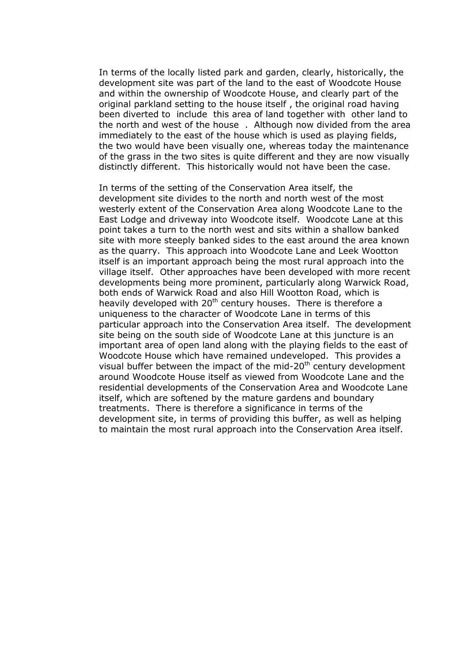In terms of the locally listed park and garden, clearly, historically, the development site was part of the land to the east of Woodcote House and within the ownership of Woodcote House, and clearly part of the original parkland setting to the house itself , the original road having been diverted to include this area of land together with other land to the north and west of the house . Although now divided from the area immediately to the east of the house which is used as playing fields, the two would have been visually one, whereas today the maintenance of the grass in the two sites is quite different and they are now visually distinctly different. This historically would not have been the case.

In terms of the setting of the Conservation Area itself, the development site divides to the north and north west of the most westerly extent of the Conservation Area along Woodcote Lane to the East Lodge and driveway into Woodcote itself. Woodcote Lane at this point takes a turn to the north west and sits within a shallow banked site with more steeply banked sides to the east around the area known as the quarry. This approach into Woodcote Lane and Leek Wootton itself is an important approach being the most rural approach into the village itself. Other approaches have been developed with more recent developments being more prominent, particularly along Warwick Road, both ends of Warwick Road and also Hill Wootton Road, which is heavily developed with 20<sup>th</sup> century houses. There is therefore a uniqueness to the character of Woodcote Lane in terms of this particular approach into the Conservation Area itself. The development site being on the south side of Woodcote Lane at this juncture is an important area of open land along with the playing fields to the east of Woodcote House which have remained undeveloped. This provides a visual buffer between the impact of the mid- $20<sup>th</sup>$  century development around Woodcote House itself as viewed from Woodcote Lane and the residential developments of the Conservation Area and Woodcote Lane itself, which are softened by the mature gardens and boundary treatments. There is therefore a significance in terms of the development site, in terms of providing this buffer, as well as helping to maintain the most rural approach into the Conservation Area itself.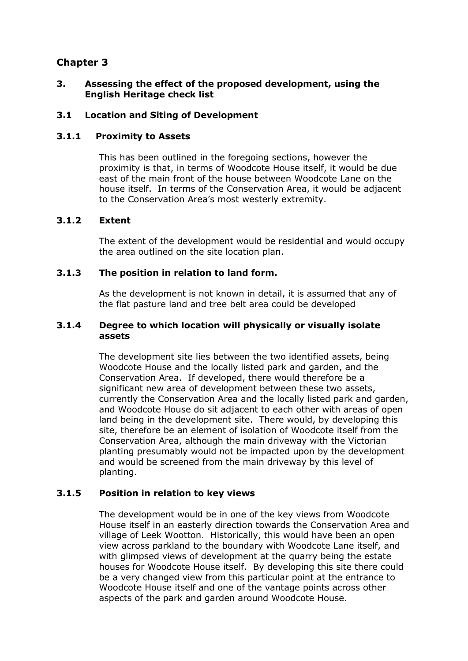#### **3. Assessing the effect of the proposed development, using the English Heritage check list**

#### **3.1 Location and Siting of Development**

#### **3.1.1 Proximity to Assets**

This has been outlined in the foregoing sections, however the proximity is that, in terms of Woodcote House itself, it would be due east of the main front of the house between Woodcote Lane on the house itself. In terms of the Conservation Area, it would be adjacent to the Conservation Area's most westerly extremity.

#### **3.1.2 Extent**

The extent of the development would be residential and would occupy the area outlined on the site location plan.

#### **3.1.3 The position in relation to land form.**

As the development is not known in detail, it is assumed that any of the flat pasture land and tree belt area could be developed

#### **3.1.4 Degree to which location will physically or visually isolate assets**

The development site lies between the two identified assets, being Woodcote House and the locally listed park and garden, and the Conservation Area. If developed, there would therefore be a significant new area of development between these two assets, currently the Conservation Area and the locally listed park and garden, and Woodcote House do sit adjacent to each other with areas of open land being in the development site. There would, by developing this site, therefore be an element of isolation of Woodcote itself from the Conservation Area, although the main driveway with the Victorian planting presumably would not be impacted upon by the development and would be screened from the main driveway by this level of planting.

#### **3.1.5 Position in relation to key views**

The development would be in one of the key views from Woodcote House itself in an easterly direction towards the Conservation Area and village of Leek Wootton. Historically, this would have been an open view across parkland to the boundary with Woodcote Lane itself, and with glimpsed views of development at the quarry being the estate houses for Woodcote House itself. By developing this site there could be a very changed view from this particular point at the entrance to Woodcote House itself and one of the vantage points across other aspects of the park and garden around Woodcote House.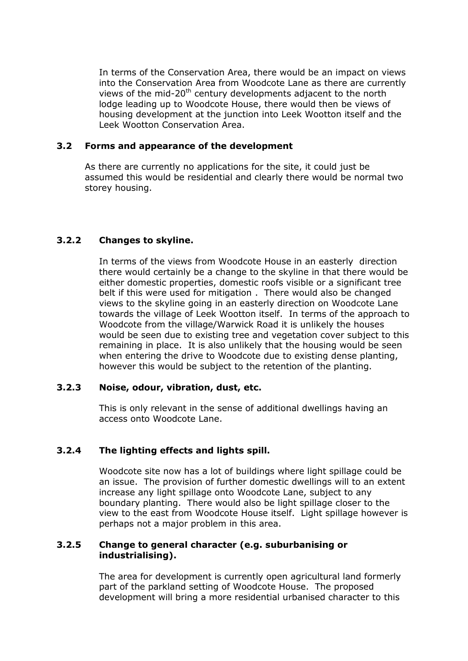In terms of the Conservation Area, there would be an impact on views into the Conservation Area from Woodcote Lane as there are currently views of the mid-20<sup>th</sup> century developments adjacent to the north lodge leading up to Woodcote House, there would then be views of housing development at the junction into Leek Wootton itself and the Leek Wootton Conservation Area.

#### **3.2 Forms and appearance of the development**

As there are currently no applications for the site, it could just be assumed this would be residential and clearly there would be normal two storey housing.

#### **3.2.2 Changes to skyline.**

In terms of the views from Woodcote House in an easterly direction there would certainly be a change to the skyline in that there would be either domestic properties, domestic roofs visible or a significant tree belt if this were used for mitigation . There would also be changed views to the skyline going in an easterly direction on Woodcote Lane towards the village of Leek Wootton itself. In terms of the approach to Woodcote from the village/Warwick Road it is unlikely the houses would be seen due to existing tree and vegetation cover subject to this remaining in place. It is also unlikely that the housing would be seen when entering the drive to Woodcote due to existing dense planting, however this would be subject to the retention of the planting.

#### **3.2.3 Noise, odour, vibration, dust, etc.**

This is only relevant in the sense of additional dwellings having an access onto Woodcote Lane.

#### **3.2.4 The lighting effects and lights spill.**

Woodcote site now has a lot of buildings where light spillage could be an issue. The provision of further domestic dwellings will to an extent increase any light spillage onto Woodcote Lane, subject to any boundary planting. There would also be light spillage closer to the view to the east from Woodcote House itself. Light spillage however is perhaps not a major problem in this area.

#### **3.2.5 Change to general character (e.g. suburbanising or industrialising).**

The area for development is currently open agricultural land formerly part of the parkland setting of Woodcote House. The proposed development will bring a more residential urbanised character to this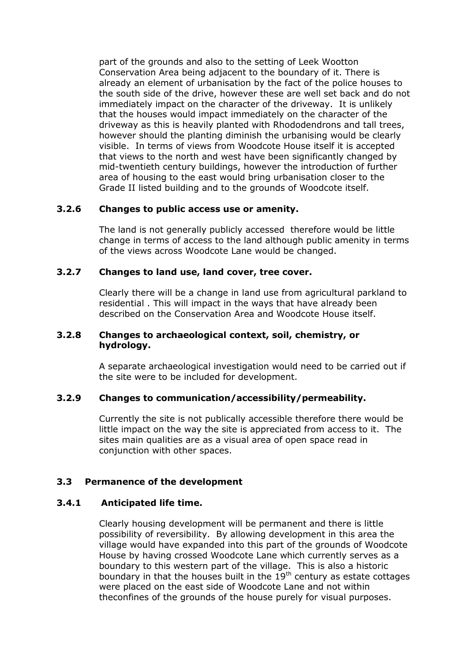part of the grounds and also to the setting of Leek Wootton Conservation Area being adjacent to the boundary of it. There is already an element of urbanisation by the fact of the police houses to the south side of the drive, however these are well set back and do not immediately impact on the character of the driveway. It is unlikely that the houses would impact immediately on the character of the driveway as this is heavily planted with Rhododendrons and tall trees, however should the planting diminish the urbanising would be clearly visible. In terms of views from Woodcote House itself it is accepted that views to the north and west have been significantly changed by mid-twentieth century buildings, however the introduction of further area of housing to the east would bring urbanisation closer to the Grade II listed building and to the grounds of Woodcote itself.

#### **3.2.6 Changes to public access use or amenity.**

The land is not generally publicly accessed therefore would be little change in terms of access to the land although public amenity in terms of the views across Woodcote Lane would be changed.

#### **3.2.7 Changes to land use, land cover, tree cover.**

Clearly there will be a change in land use from agricultural parkland to residential . This will impact in the ways that have already been described on the Conservation Area and Woodcote House itself.

#### **3.2.8 Changes to archaeological context, soil, chemistry, or hydrology.**

A separate archaeological investigation would need to be carried out if the site were to be included for development.

#### **3.2.9 Changes to communication/accessibility/permeability.**

Currently the site is not publically accessible therefore there would be little impact on the way the site is appreciated from access to it. The sites main qualities are as a visual area of open space read in conjunction with other spaces.

#### **3.3 Permanence of the development**

#### **3.4.1 Anticipated life time.**

Clearly housing development will be permanent and there is little possibility of reversibility. By allowing development in this area the village would have expanded into this part of the grounds of Woodcote House by having crossed Woodcote Lane which currently serves as a boundary to this western part of the village. This is also a historic boundary in that the houses built in the  $19<sup>th</sup>$  century as estate cottages were placed on the east side of Woodcote Lane and not within theconfines of the grounds of the house purely for visual purposes.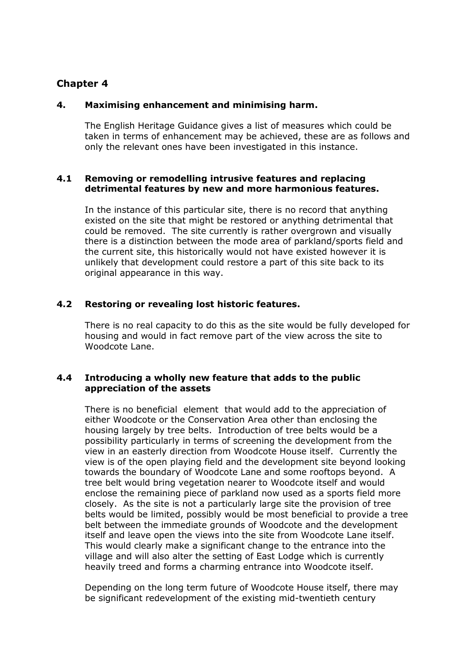#### **4. Maximising enhancement and minimising harm.**

The English Heritage Guidance gives a list of measures which could be taken in terms of enhancement may be achieved, these are as follows and only the relevant ones have been investigated in this instance.

#### **4.1 Removing or remodelling intrusive features and replacing detrimental features by new and more harmonious features.**

In the instance of this particular site, there is no record that anything existed on the site that might be restored or anything detrimental that could be removed. The site currently is rather overgrown and visually there is a distinction between the mode area of parkland/sports field and the current site, this historically would not have existed however it is unlikely that development could restore a part of this site back to its original appearance in this way.

#### **4.2 Restoring or revealing lost historic features.**

There is no real capacity to do this as the site would be fully developed for housing and would in fact remove part of the view across the site to Woodcote Lane.

#### **4.4 Introducing a wholly new feature that adds to the public appreciation of the assets**

There is no beneficial element that would add to the appreciation of either Woodcote or the Conservation Area other than enclosing the housing largely by tree belts. Introduction of tree belts would be a possibility particularly in terms of screening the development from the view in an easterly direction from Woodcote House itself. Currently the view is of the open playing field and the development site beyond looking towards the boundary of Woodcote Lane and some rooftops beyond. A tree belt would bring vegetation nearer to Woodcote itself and would enclose the remaining piece of parkland now used as a sports field more closely. As the site is not a particularly large site the provision of tree belts would be limited, possibly would be most beneficial to provide a tree belt between the immediate grounds of Woodcote and the development itself and leave open the views into the site from Woodcote Lane itself. This would clearly make a significant change to the entrance into the village and will also alter the setting of East Lodge which is currently heavily treed and forms a charming entrance into Woodcote itself.

Depending on the long term future of Woodcote House itself, there may be significant redevelopment of the existing mid-twentieth century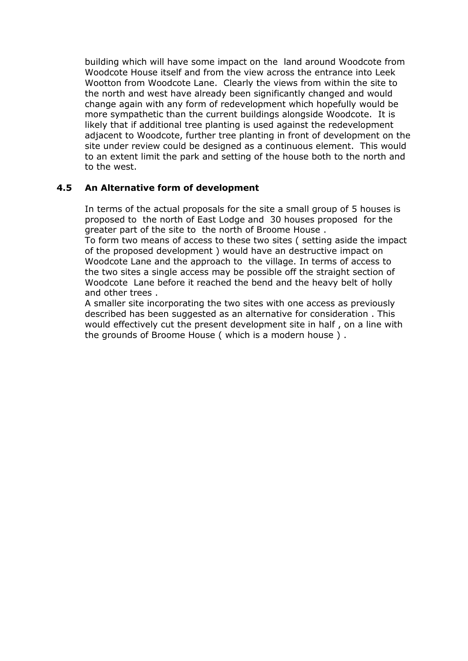building which will have some impact on the land around Woodcote from Woodcote House itself and from the view across the entrance into Leek Wootton from Woodcote Lane. Clearly the views from within the site to the north and west have already been significantly changed and would change again with any form of redevelopment which hopefully would be more sympathetic than the current buildings alongside Woodcote. It is likely that if additional tree planting is used against the redevelopment adjacent to Woodcote, further tree planting in front of development on the site under review could be designed as a continuous element. This would to an extent limit the park and setting of the house both to the north and to the west.

#### **4.5 An Alternative form of development**

In terms of the actual proposals for the site a small group of 5 houses is proposed to the north of East Lodge and 30 houses proposed for the greater part of the site to the north of Broome House .

To form two means of access to these two sites ( setting aside the impact of the proposed development ) would have an destructive impact on Woodcote Lane and the approach to the village. In terms of access to the two sites a single access may be possible off the straight section of Woodcote Lane before it reached the bend and the heavy belt of holly and other trees .

A smaller site incorporating the two sites with one access as previously described has been suggested as an alternative for consideration . This would effectively cut the present development site in half , on a line with the grounds of Broome House ( which is a modern house ) .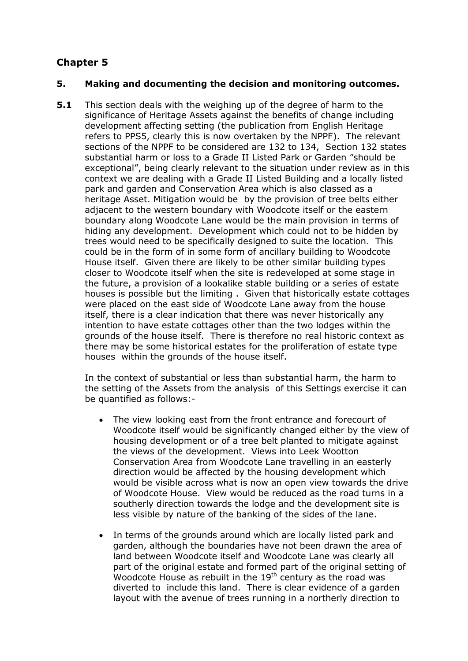#### **5. Making and documenting the decision and monitoring outcomes.**

**5.1** This section deals with the weighing up of the degree of harm to the significance of Heritage Assets against the benefits of change including development affecting setting (the publication from English Heritage refers to PPS5, clearly this is now overtaken by the NPPF). The relevant sections of the NPPF to be considered are 132 to 134, Section 132 states substantial harm or loss to a Grade II Listed Park or Garden "should be exceptional", being clearly relevant to the situation under review as in this context we are dealing with a Grade II Listed Building and a locally listed park and garden and Conservation Area which is also classed as a heritage Asset. Mitigation would be by the provision of tree belts either adjacent to the western boundary with Woodcote itself or the eastern boundary along Woodcote Lane would be the main provision in terms of hiding any development. Development which could not to be hidden by trees would need to be specifically designed to suite the location. This could be in the form of in some form of ancillary building to Woodcote House itself. Given there are likely to be other similar building types closer to Woodcote itself when the site is redeveloped at some stage in the future, a provision of a lookalike stable building or a series of estate houses is possible but the limiting . Given that historically estate cottages were placed on the east side of Woodcote Lane away from the house itself, there is a clear indication that there was never historically any intention to have estate cottages other than the two lodges within the grounds of the house itself. There is therefore no real historic context as there may be some historical estates for the proliferation of estate type houses within the grounds of the house itself.

In the context of substantial or less than substantial harm, the harm to the setting of the Assets from the analysis of this Settings exercise it can be quantified as follows:-

- The view looking east from the front entrance and forecourt of Woodcote itself would be significantly changed either by the view of housing development or of a tree belt planted to mitigate against the views of the development. Views into Leek Wootton Conservation Area from Woodcote Lane travelling in an easterly direction would be affected by the housing development which would be visible across what is now an open view towards the drive of Woodcote House. View would be reduced as the road turns in a southerly direction towards the lodge and the development site is less visible by nature of the banking of the sides of the lane.
- In terms of the grounds around which are locally listed park and garden, although the boundaries have not been drawn the area of land between Woodcote itself and Woodcote Lane was clearly all part of the original estate and formed part of the original setting of Woodcote House as rebuilt in the  $19<sup>th</sup>$  century as the road was diverted to include this land. There is clear evidence of a garden layout with the avenue of trees running in a northerly direction to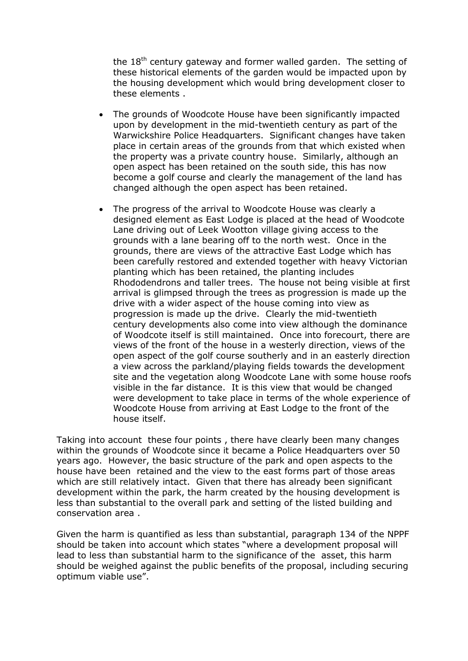the  $18<sup>th</sup>$  century gateway and former walled garden. The setting of these historical elements of the garden would be impacted upon by the housing development which would bring development closer to these elements .

- The grounds of Woodcote House have been significantly impacted upon by development in the mid-twentieth century as part of the Warwickshire Police Headquarters. Significant changes have taken place in certain areas of the grounds from that which existed when the property was a private country house. Similarly, although an open aspect has been retained on the south side, this has now become a golf course and clearly the management of the land has changed although the open aspect has been retained.
- The progress of the arrival to Woodcote House was clearly a designed element as East Lodge is placed at the head of Woodcote Lane driving out of Leek Wootton village giving access to the grounds with a lane bearing off to the north west. Once in the grounds, there are views of the attractive East Lodge which has been carefully restored and extended together with heavy Victorian planting which has been retained, the planting includes Rhododendrons and taller trees. The house not being visible at first arrival is glimpsed through the trees as progression is made up the drive with a wider aspect of the house coming into view as progression is made up the drive. Clearly the mid-twentieth century developments also come into view although the dominance of Woodcote itself is still maintained. Once into forecourt, there are views of the front of the house in a westerly direction, views of the open aspect of the golf course southerly and in an easterly direction a view across the parkland/playing fields towards the development site and the vegetation along Woodcote Lane with some house roofs visible in the far distance. It is this view that would be changed were development to take place in terms of the whole experience of Woodcote House from arriving at East Lodge to the front of the house itself.

Taking into account these four points , there have clearly been many changes within the grounds of Woodcote since it became a Police Headquarters over 50 years ago. However, the basic structure of the park and open aspects to the house have been retained and the view to the east forms part of those areas which are still relatively intact. Given that there has already been significant development within the park, the harm created by the housing development is less than substantial to the overall park and setting of the listed building and conservation area .

Given the harm is quantified as less than substantial, paragraph 134 of the NPPF should be taken into account which states "where a development proposal will lead to less than substantial harm to the significance of the asset, this harm should be weighed against the public benefits of the proposal, including securing optimum viable use".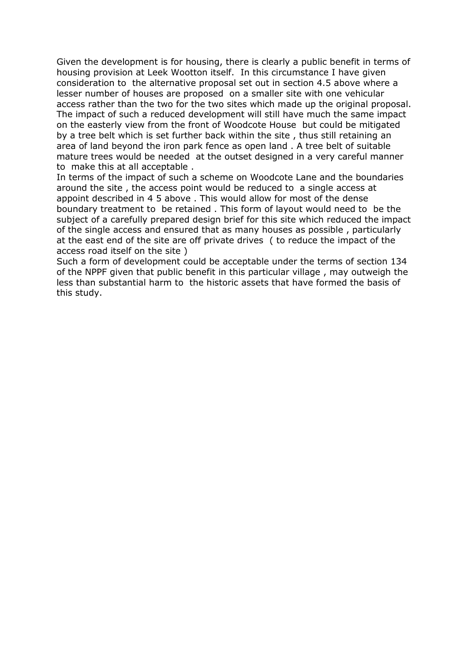Given the development is for housing, there is clearly a public benefit in terms of housing provision at Leek Wootton itself. In this circumstance I have given consideration to the alternative proposal set out in section 4.5 above where a lesser number of houses are proposed on a smaller site with one vehicular access rather than the two for the two sites which made up the original proposal. The impact of such a reduced development will still have much the same impact on the easterly view from the front of Woodcote House but could be mitigated by a tree belt which is set further back within the site , thus still retaining an area of land beyond the iron park fence as open land . A tree belt of suitable mature trees would be needed at the outset designed in a very careful manner to make this at all acceptable .

In terms of the impact of such a scheme on Woodcote Lane and the boundaries around the site , the access point would be reduced to a single access at appoint described in 4 5 above . This would allow for most of the dense boundary treatment to be retained . This form of layout would need to be the subject of a carefully prepared design brief for this site which reduced the impact of the single access and ensured that as many houses as possible , particularly at the east end of the site are off private drives ( to reduce the impact of the access road itself on the site )

Such a form of development could be acceptable under the terms of section 134 of the NPPF given that public benefit in this particular village , may outweigh the less than substantial harm to the historic assets that have formed the basis of this study.